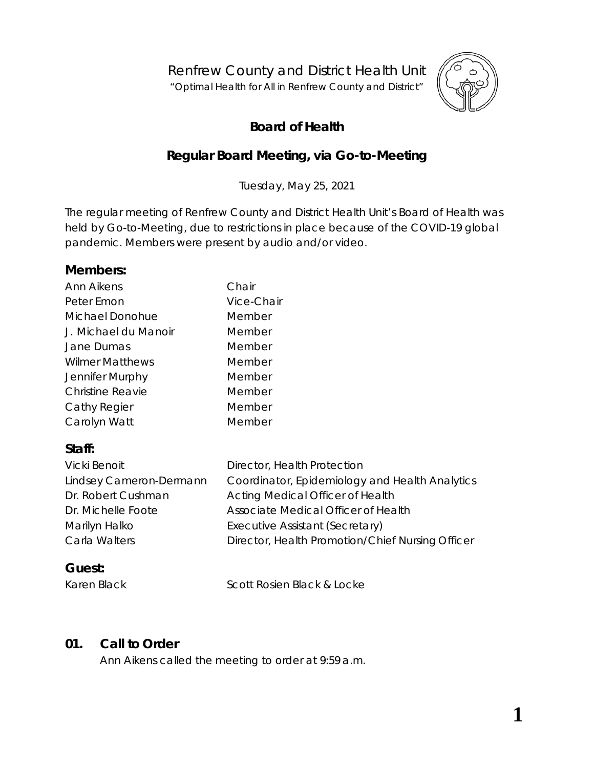Renfrew County and District Health Unit

"*Optimal Health for All in Renfrew County and District"*



# **Board of Health**

# **Regular Board Meeting, via** *Go-to-Meeting*

Tuesday, May 25, 2021

The regular meeting of Renfrew County and District Health Unit's Board of Health was held by *Go-to-Meeting,* due to restrictions in place because of the COVID-19 global pandemic. Members were present by audio and/or video.

#### **Members:**

| Ann Aikens              | Chair      |
|-------------------------|------------|
| Peter Emon              | Vice-Chair |
| Michael Donohue         | Member     |
| J. Michael du Manoir    | Member     |
| Jane Dumas              | Member     |
| <b>Wilmer Matthews</b>  | Member     |
| Jennifer Murphy         | Member     |
| <b>Christine Reavie</b> | Member     |
| Cathy Regier            | Member     |
| Carolyn Watt            | Member     |

# **Staff:**

| Director, Health Protection                      |
|--------------------------------------------------|
| Coordinator, Epidemiology and Health Analytics   |
| Acting Medical Officer of Health                 |
| Associate Medical Officer of Health              |
| Executive Assistant (Secretary)                  |
| Director, Health Promotion/Chief Nursing Officer |
|                                                  |

### **Guest:**

Karen Black Scott Rosien Black & Locke

### **01. Call to Order**

Ann Aikens called the meeting to order at 9:59 a.m.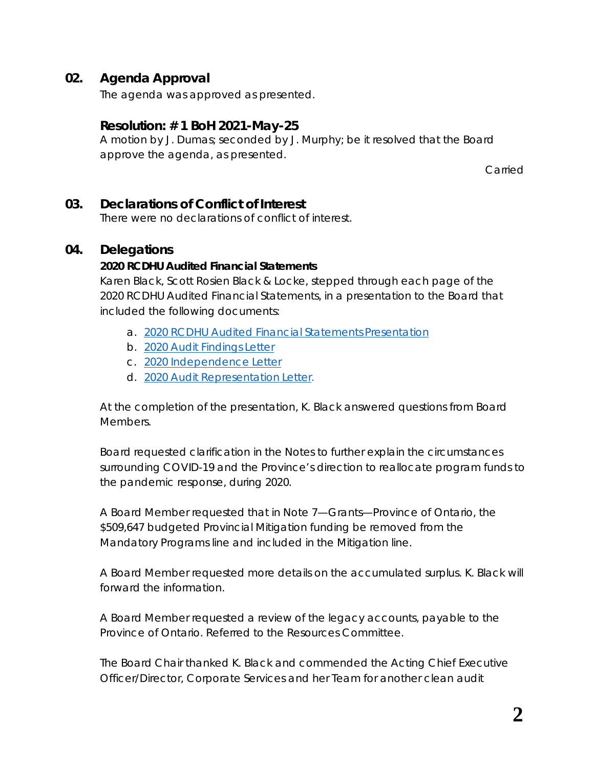### **02. Agenda Approval**

The agenda was approved as presented.

#### **Resolution: # 1 BoH 2021-May-25**

A motion by J. Dumas; seconded by J. Murphy; be it resolved that the Board approve the agenda, as presented.

Carried

#### **03. Declarations of Conflict of Interest**

There were no declarations of conflict of interest.

#### **04. Delegations**

#### **2020 RCDHU Audited Financial Statements**

Karen Black, Scott Rosien Black & Locke, stepped through each page of the *2020 RCDHU Audited Financial Statements*, in a presentation to the Board that included the following documents:

- *a. [2020 RCDHU Audited Financial Statements](https://www.rcdhu.com/wp-content/uploads/2021/07/04.-Draft-2020-Financial-Statements-for-Board-Meeting-V2.pdf) Presentation*
- *b. [2020 Audit Findings](https://www.rcdhu.com/wp-content/uploads/2021/07/04.-2020-Audit-Findings-Letter.pdf) Letter*
- *c. [2020 Independence](https://www.rcdhu.com/wp-content/uploads/2021/07/04.-2020-Independence-Letter.pdf) Letter*
- *d. [2020 Audit Representation](https://www.rcdhu.com/wp-content/uploads/2021/07/04.-2020-Audit-Representation-Letter.pdf) Letter*.

At the completion of the presentation, K. Black answered questions from Board Members.

Board requested clarification in the Notes to further explain the circumstances surrounding COVID-19 and the Province's direction to reallocate program funds to the pandemic response, during 2020.

A Board Member requested that in Note 7—Grants—Province of Ontario, the \$509,647 budgeted Provincial Mitigation funding be removed from the Mandatory Programs line and included in the Mitigation line.

A Board Member requested more details on the accumulated surplus. K. Black will forward the information.

A Board Member requested a review of the legacy accounts, payable to the Province of Ontario. Referred to the Resources Committee.

The Board Chair thanked K. Black and commended the Acting Chief Executive Officer/Director, Corporate Services and her Team for another clean audit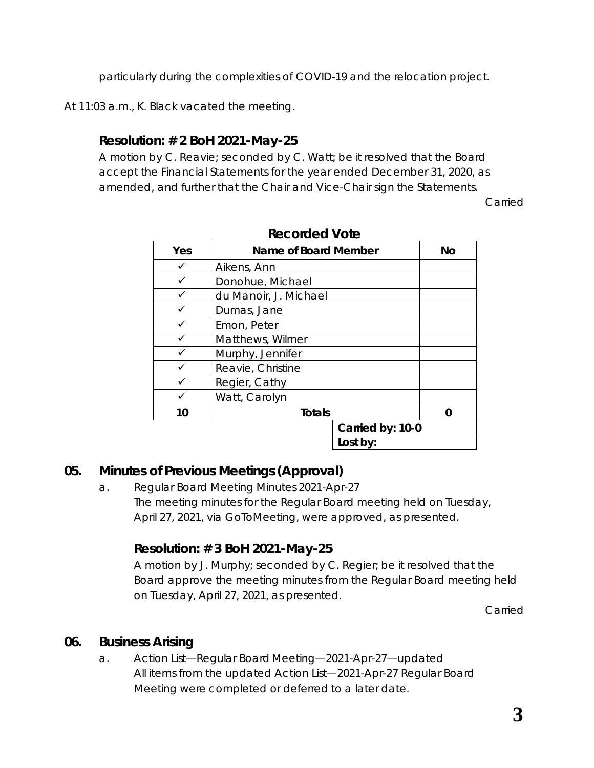particularly during the complexities of COVID-19 and the relocation project.

At 11:03 a.m., K. Black vacated the meeting.

# **Resolution: # 2 BoH 2021-May-25**

A motion by C. Reavie; seconded by C. Watt; be it resolved that the Board accept the Financial Statements for the year ended December 31, 2020, as amended, and further that the Chair and Vice-Chair sign the Statements.

Carried

| Yes | Name of Board Member  |                  | No |
|-----|-----------------------|------------------|----|
|     | Aikens, Ann           |                  |    |
|     | Donohue, Michael      |                  |    |
|     | du Manoir, J. Michael |                  |    |
|     | Dumas, Jane           |                  |    |
|     | Emon, Peter           |                  |    |
|     | Matthews, Wilmer      |                  |    |
|     | Murphy, Jennifer      |                  |    |
|     | Reavie, Christine     |                  |    |
|     | Regier, Cathy         |                  |    |
|     | Watt, Carolyn         |                  |    |
| 10  | <b>Totals</b>         |                  | ŋ  |
|     |                       | Carried by: 10-0 |    |
|     |                       | Lost by:         |    |

# **Recorded Vote**

### **05. Minutes of Previous Meetings (Approval)**

a. Regular Board Meeting Minutes 2021-Apr-27 The meeting minutes for the Regular Board meeting held on Tuesday, April 27, 2021, via *GoToMeeting*, were approved, as presented.

# **Resolution: # 3 BoH 2021-May-25**

A motion by J. Murphy; seconded by C. Regier; be it resolved that the Board approve the meeting minutes from the Regular Board meeting held on Tuesday, April 27, 2021, as presented.

Carried

### **06. Business Arising**

a. Action List—Regular Board Meeting—2021-Apr-27—updated All items from the updated *Action List—2021-Apr-27* Regular Board Meeting were completed or deferred to a later date.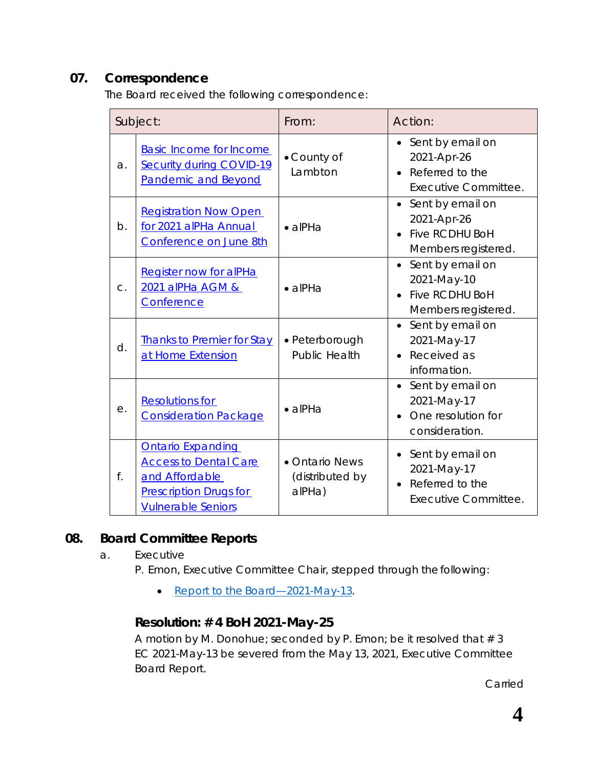### **07. Correspondence**

The Board received the following correspondence:

| Subject: |                                                                                                                                          | From:                                       | Action:                                                                                                   |  |
|----------|------------------------------------------------------------------------------------------------------------------------------------------|---------------------------------------------|-----------------------------------------------------------------------------------------------------------|--|
| a.       | <b>Basic Income for Income</b><br><b>Security during COVID-19</b><br><b>Pandemic and Beyond</b>                                          | • County of<br>Lambton                      | • Sent by email on<br>2021-Apr-26<br>Referred to the<br><b>Executive Committee.</b>                       |  |
| b.       | <b>Registration Now Open</b><br>for 2021 alPHa Annual<br>Conference on June 8th                                                          | $\bullet$ alPHa                             | Sent by email on<br>$\bullet$<br>2021-Apr-26<br><b>Five RCDHU BoH</b><br>$\bullet$<br>Members registered. |  |
| $C$ .    | <b>Register now for alPHa</b><br>2021 alPHa AGM &<br>Conference                                                                          | $\bullet$ alPHa                             | Sent by email on<br>2021-May-10<br><b>Five RCDHU BoH</b><br>$\bullet$<br>Members registered.              |  |
| d.       | <b>Thanks to Premier for Stay</b><br>at Home Extension                                                                                   | • Peterborough<br><b>Public Health</b>      | Sent by email on<br>$\bullet$<br>2021-May-17<br>Received as<br>$\bullet$<br>information.                  |  |
| е.       | <b>Resolutions for</b><br><b>Consideration Package</b>                                                                                   | $\bullet$ alPHa                             | Sent by email on<br>$\bullet$<br>2021-May-17<br>One resolution for<br>consideration.                      |  |
| f.       | <b>Ontario Expanding</b><br><b>Access to Dental Care</b><br>and Affordable<br><b>Prescription Drugs for</b><br><b>Vulnerable Seniors</b> | • Ontario News<br>(distributed by<br>alPHa) | Sent by email on<br>2021-May-17<br>Referred to the<br>$\bullet$<br>Executive Committee.                   |  |

#### **08. Board Committee Reports**

a. Executive

P. Emon, Executive Committee Chair, stepped through the following:

• Report to the Board-2021-May-13.

### **Resolution: # 4 BoH 2021-May-25**

A motion by M. Donohue; seconded by P. Emon; be it resolved that  $# 3$ EC 2021-May-13 be severed from the May 13, 2021, Executive Committee Board Report.

Carried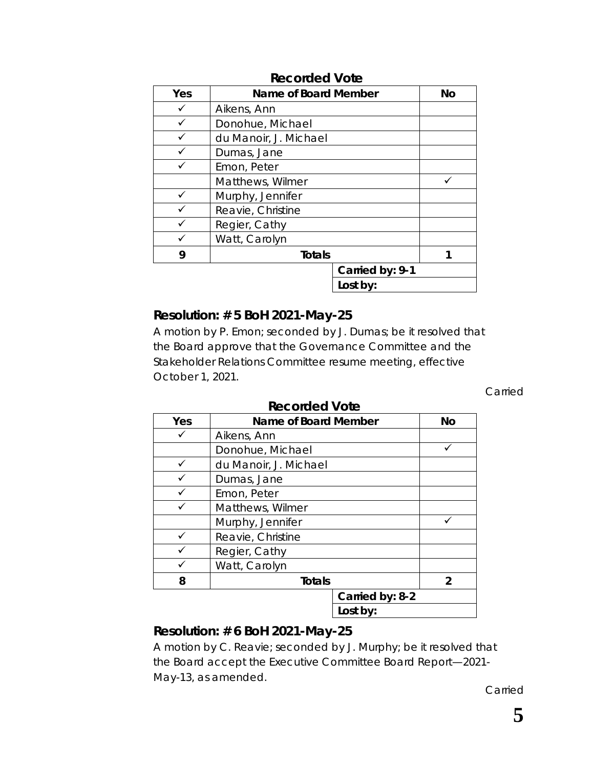| Yes | Name of Board Member  |                 | <b>No</b> |
|-----|-----------------------|-----------------|-----------|
|     | Aikens, Ann           |                 |           |
|     | Donohue, Michael      |                 |           |
|     | du Manoir, J. Michael |                 |           |
|     | Dumas, Jane           |                 |           |
|     | Emon, Peter           |                 |           |
|     | Matthews, Wilmer      |                 |           |
|     | Murphy, Jennifer      |                 |           |
|     | Reavie, Christine     |                 |           |
|     | Regier, Cathy         |                 |           |
|     | Watt, Carolyn         |                 |           |
| 9   | <b>Totals</b>         |                 |           |
|     |                       | Carried by: 9-1 |           |
|     |                       | Lost by:        |           |

#### **Recorded Vote**

### **Resolution: # 5 BoH 2021-May-25**

A motion by P. Emon; seconded by J. Dumas; be it resolved that the Board approve that the Governance Committee and the Stakeholder Relations Committee resume meeting, effective October 1, 2021.

Carried

|     | nccoraca volc         |                 |                |  |
|-----|-----------------------|-----------------|----------------|--|
| Yes | Name of Board Member  |                 | No             |  |
|     | Aikens, Ann           |                 |                |  |
|     | Donohue, Michael      |                 |                |  |
|     | du Manoir, J. Michael |                 |                |  |
|     | Dumas, Jane           |                 |                |  |
|     | Emon, Peter           |                 |                |  |
|     | Matthews, Wilmer      |                 |                |  |
|     | Murphy, Jennifer      |                 |                |  |
|     | Reavie, Christine     |                 |                |  |
|     | Regier, Cathy         |                 |                |  |
|     | Watt, Carolyn         |                 |                |  |
| 8   | <b>Totals</b>         |                 | $\overline{2}$ |  |
|     |                       | Carried by: 8-2 |                |  |
|     |                       | Lost by:        |                |  |

#### **Recorded Vote**

### **Resolution: # 6 BoH 2021-May-25**

A motion by C. Reavie; seconded by J. Murphy; be it resolved that the Board accept the Executive Committee Board Report—2021- May-13, as amended.

Carried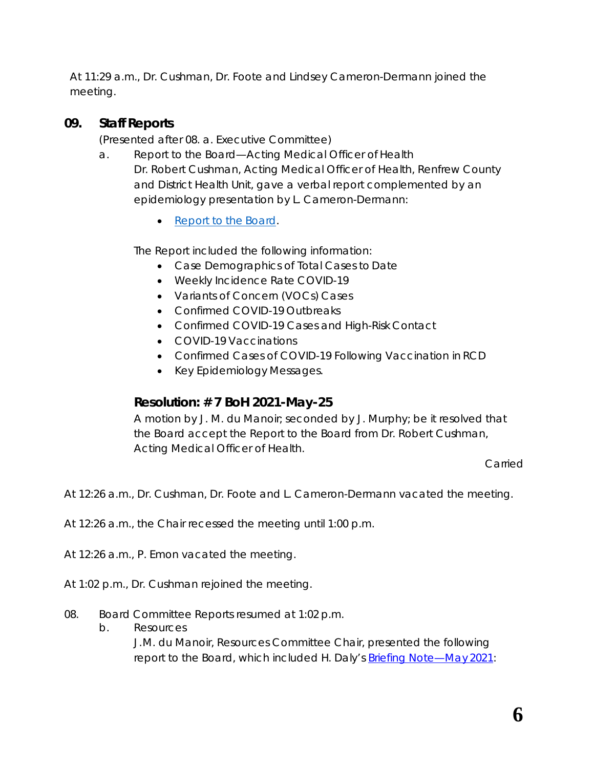At 11:29 a.m., Dr. Cushman, Dr. Foote and Lindsey Cameron-Dermann joined the meeting.

### **09. Staff Reports**

(Presented after 08. a. Executive Committee)

- a. Report to the Board—Acting Medical Officer of Health Dr. Robert Cushman, Acting Medical Officer of Health, Renfrew County and District Health Unit, gave a verbal report complemented by an epidemiology presentation by L. Cameron-Dermann:
	- [Report to the](https://www.rcdhu.com/wp-content/uploads/2021/07/08.-COVID-19-RCDHU-Epidemiology-Update-2021-05-25-002.pdf) Board.

The *Report* included the following information:

- Case Demographics of Total Cases to Date
- Weekly Incidence Rate COVID-19
- Variants of Concern (VOCs) Cases
- Confirmed COVID-19 Outbreaks
- Confirmed COVID-19 Cases and High-Risk Contact
- COVID-19 Vaccinations
- Confirmed Cases of COVID-19 Following Vaccination in RCD
- Key Epidemiology Messages.

### **Resolution: # 7 BoH 2021-May-25**

A motion by J. M. du Manoir; seconded by J. Murphy; be it resolved that the Board accept the Report to the Board from Dr. Robert Cushman, Acting Medical Officer of Health.

Carried

At 12:26 a.m., Dr. Cushman, Dr. Foote and L. Cameron-Dermann vacated the meeting.

At 12:26 a.m., the Chair recessed the meeting until 1:00 p.m.

At 12:26 a.m., P. Emon vacated the meeting.

- At 1:02 p.m., Dr. Cushman rejoined the meeting.
- 08. Board Committee Reports resumed at 1:02 p.m.
	- b. Resources

J.M. du Manoir, Resources Committee Chair, presented the following report to the Board, which included H. Daly's [Briefing Note—May](https://www.rcdhu.com/wp-content/uploads/2021/05/08.-a.-Briefing-Note-May-2021.pdf) 2021: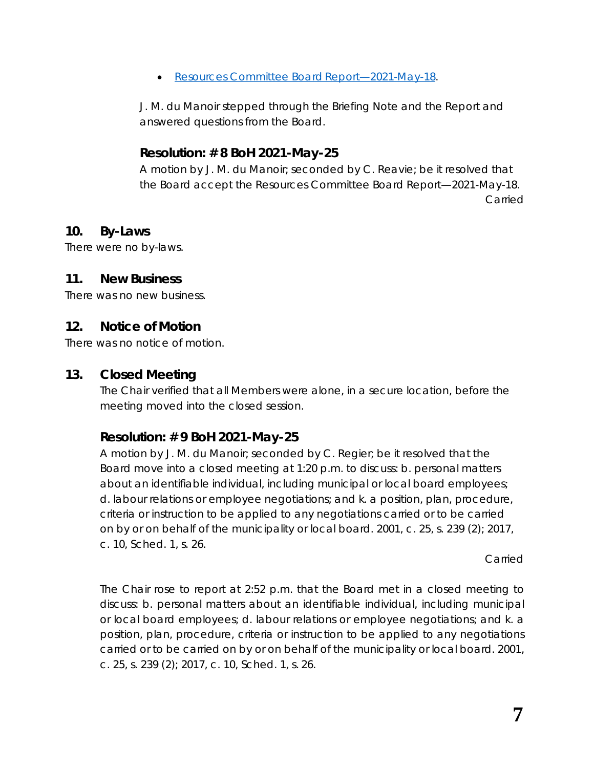• [Resources Committee Board](https://www.rcdhu.com/wp-content/uploads/2021/07/09.-b.-Resources-Committee-Board-Report-2021-May-18.pdf) Report—2021-May-18.

J. M. du Manoir stepped through the *Briefing Note* and the *Report* and answered questions from the Board.

### **Resolution: # 8 BoH 2021-May-25**

A motion by J. M. du Manoir; seconded by C. Reavie; be it resolved that the Board accept the Resources Committee Board Report—2021-May-18. Carried

### **10. By-Laws**

There were no by-laws.

### **11. New Business**

There was no new business.

### **12. Notice of Motion**

There was no notice of motion.

### **13. Closed Meeting**

The Chair verified that all Members were alone, in a secure location, before the meeting moved into the closed session.

# **Resolution: # 9 BoH 2021-May-25**

A motion by J. M. du Manoir; seconded by C. Regier; be it resolved that the Board move into a closed meeting at 1:20 p.m. to discuss: b. personal matters about an identifiable individual, including municipal or local board employees; d. labour relations or employee negotiations; and k. a position, plan, procedure, criteria or instruction to be applied to any negotiations carried or to be carried on by or on behalf of the municipality or local board. 2001, c. 25, s. 239 (2); 2017, c. 10, Sched. 1, s. 26.

Carried

The Chair rose to report at 2:52 p.m. that the Board met in a closed meeting to discuss: b. personal matters about an identifiable individual, including municipal or local board employees; d. labour relations or employee negotiations; and k. a position, plan, procedure, criteria or instruction to be applied to any negotiations carried or to be carried on by or on behalf of the municipality or local board. 2001, c. 25, s. 239 (2); 2017, c. 10, Sched. 1, s. 26.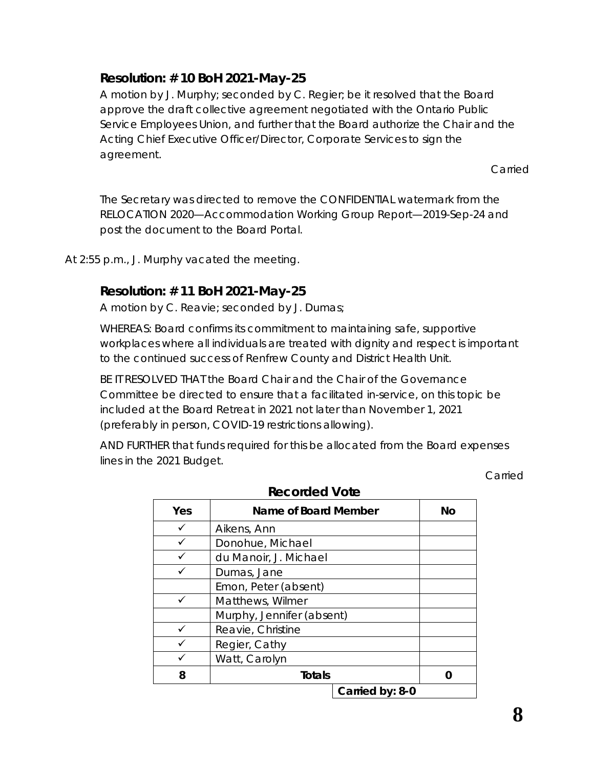### **Resolution: # 10 BoH 2021-May-25**

A motion by J. Murphy; seconded by C. Regier; be it resolved that the Board approve the draft collective agreement negotiated with the Ontario Public Service Employees Union, and further that the Board authorize the Chair and the Acting Chief Executive Officer/Director, Corporate Services to sign the agreement.

Carried

The Secretary was directed to remove the CONFIDENTIAL watermark from the *RELOCATION 2020—Accommodation Working Group Report—2019-Sep-24* and post the document to the Board Portal.

At 2:55 p.m., J. Murphy vacated the meeting.

#### **Resolution: # 11 BoH 2021-May-25**

A motion by C. Reavie; seconded by J. Dumas;

WHEREAS: Board confirms its commitment to maintaining safe, supportive workplaces where all individuals are treated with dignity and respect is important to the continued success of Renfrew County and District Health Unit.

BE IT RESOLVED THAT the Board Chair and the Chair of the Governance Committee be directed to ensure that a facilitated in-service, on this topic be included at the Board Retreat in 2021 not later than November 1, 2021 (preferably in person, COVID-19 restrictions allowing).

AND FURTHER that funds required for this be allocated from the Board expenses lines in the 2021 Budget.

Carried

| Yes | Name of Board Member      | No |
|-----|---------------------------|----|
| ✓   | Aikens, Ann               |    |
|     | Donohue, Michael          |    |
|     | du Manoir, J. Michael     |    |
|     | Dumas, Jane               |    |
|     | Emon, Peter (absent)      |    |
|     | Matthews, Wilmer          |    |
|     | Murphy, Jennifer (absent) |    |
|     | Reavie, Christine         |    |
|     | Regier, Cathy             |    |
|     | Watt, Carolyn             |    |
| 8   | <b>Totals</b>             |    |
|     | Carried by: 8-0           |    |

**Recorded Vote**